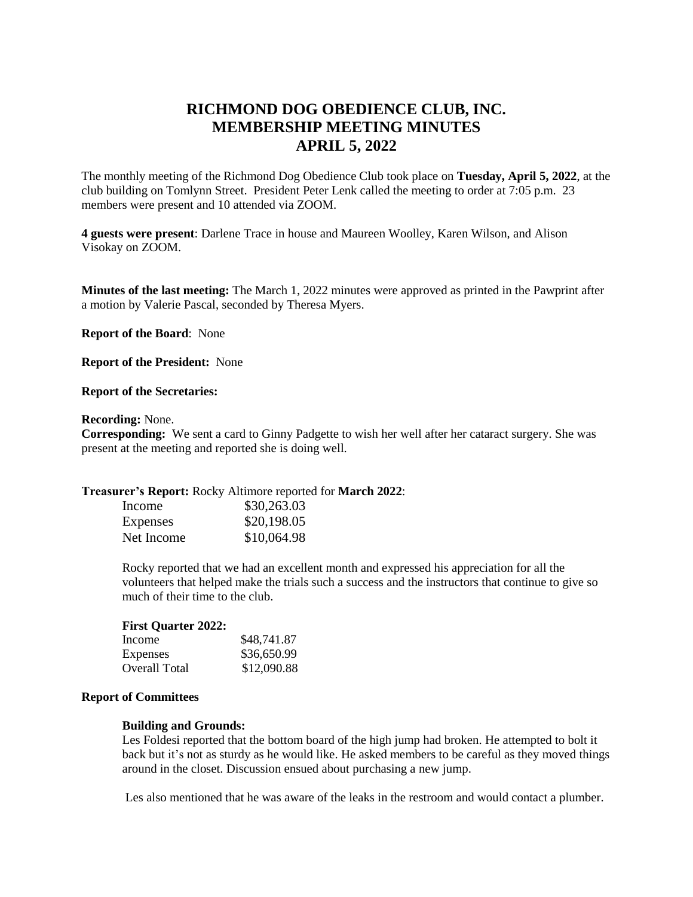# **RICHMOND DOG OBEDIENCE CLUB, INC. MEMBERSHIP MEETING MINUTES APRIL 5, 2022**

The monthly meeting of the Richmond Dog Obedience Club took place on **Tuesday, April 5, 2022**, at the club building on Tomlynn Street. President Peter Lenk called the meeting to order at 7:05 p.m. 23 members were present and 10 attended via ZOOM.

**4 guests were present**: Darlene Trace in house and Maureen Woolley, Karen Wilson, and Alison Visokay on ZOOM.

**Minutes of the last meeting:** The March 1, 2022 minutes were approved as printed in the Pawprint after a motion by Valerie Pascal, seconded by Theresa Myers.

**Report of the Board**: None

**Report of the President:** None

#### **Report of the Secretaries:**

#### **Recording:** None.

**Corresponding:** We sent a card to Ginny Padgette to wish her well after her cataract surgery. She was present at the meeting and reported she is doing well.

#### **Treasurer's Report:** Rocky Altimore reported for **March 2022**:

| Income     | \$30,263.03 |
|------------|-------------|
| Expenses   | \$20,198.05 |
| Net Income | \$10,064.98 |

Rocky reported that we had an excellent month and expressed his appreciation for all the volunteers that helped make the trials such a success and the instructors that continue to give so much of their time to the club.

#### **First Quarter 2022:**

| Income        | \$48,741.87 |
|---------------|-------------|
| Expenses      | \$36,650.99 |
| Overall Total | \$12,090.88 |

# **Report of Committees**

#### **Building and Grounds:**

Les Foldesi reported that the bottom board of the high jump had broken. He attempted to bolt it back but it's not as sturdy as he would like. He asked members to be careful as they moved things around in the closet. Discussion ensued about purchasing a new jump.

Les also mentioned that he was aware of the leaks in the restroom and would contact a plumber.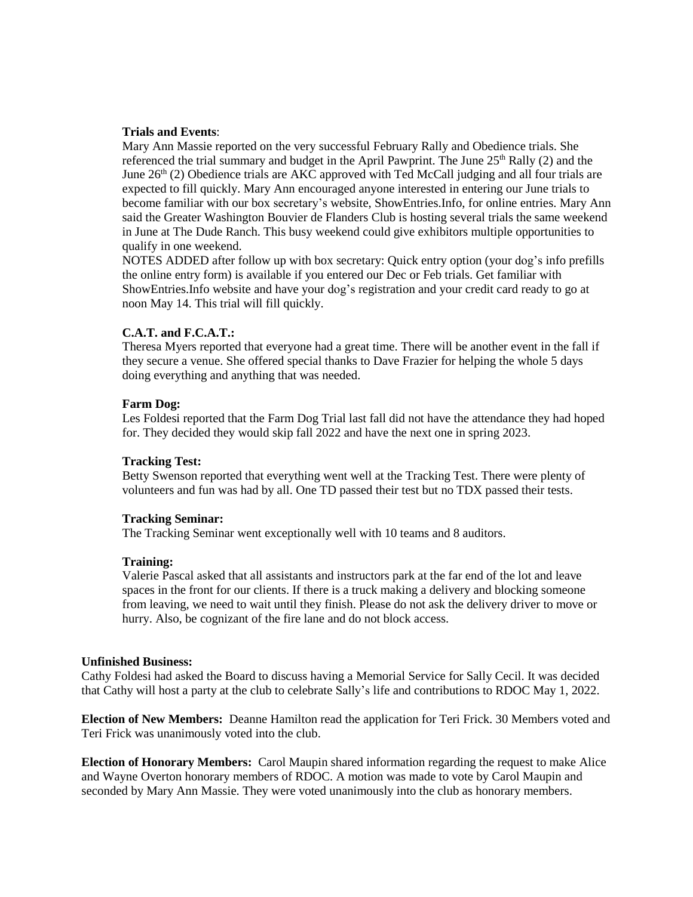# **Trials and Events**:

Mary Ann Massie reported on the very successful February Rally and Obedience trials. She referenced the trial summary and budget in the April Pawprint. The June  $25<sup>th</sup>$  Rally (2) and the June  $26<sup>th</sup>$  (2) Obedience trials are AKC approved with Ted McCall judging and all four trials are expected to fill quickly. Mary Ann encouraged anyone interested in entering our June trials to become familiar with our box secretary's website, ShowEntries.Info, for online entries. Mary Ann said the Greater Washington Bouvier de Flanders Club is hosting several trials the same weekend in June at The Dude Ranch. This busy weekend could give exhibitors multiple opportunities to qualify in one weekend.

NOTES ADDED after follow up with box secretary: Quick entry option (your dog's info prefills the online entry form) is available if you entered our Dec or Feb trials. Get familiar with ShowEntries.Info website and have your dog's registration and your credit card ready to go at noon May 14. This trial will fill quickly.

# **C.A.T. and F.C.A.T.:**

Theresa Myers reported that everyone had a great time. There will be another event in the fall if they secure a venue. She offered special thanks to Dave Frazier for helping the whole 5 days doing everything and anything that was needed.

# **Farm Dog:**

Les Foldesi reported that the Farm Dog Trial last fall did not have the attendance they had hoped for. They decided they would skip fall 2022 and have the next one in spring 2023.

## **Tracking Test:**

Betty Swenson reported that everything went well at the Tracking Test. There were plenty of volunteers and fun was had by all. One TD passed their test but no TDX passed their tests.

## **Tracking Seminar:**

The Tracking Seminar went exceptionally well with 10 teams and 8 auditors.

## **Training:**

Valerie Pascal asked that all assistants and instructors park at the far end of the lot and leave spaces in the front for our clients. If there is a truck making a delivery and blocking someone from leaving, we need to wait until they finish. Please do not ask the delivery driver to move or hurry. Also, be cognizant of the fire lane and do not block access.

## **Unfinished Business:**

Cathy Foldesi had asked the Board to discuss having a Memorial Service for Sally Cecil. It was decided that Cathy will host a party at the club to celebrate Sally's life and contributions to RDOC May 1, 2022.

**Election of New Members:** Deanne Hamilton read the application for Teri Frick. 30 Members voted and Teri Frick was unanimously voted into the club.

**Election of Honorary Members:** Carol Maupin shared information regarding the request to make Alice and Wayne Overton honorary members of RDOC. A motion was made to vote by Carol Maupin and seconded by Mary Ann Massie. They were voted unanimously into the club as honorary members.